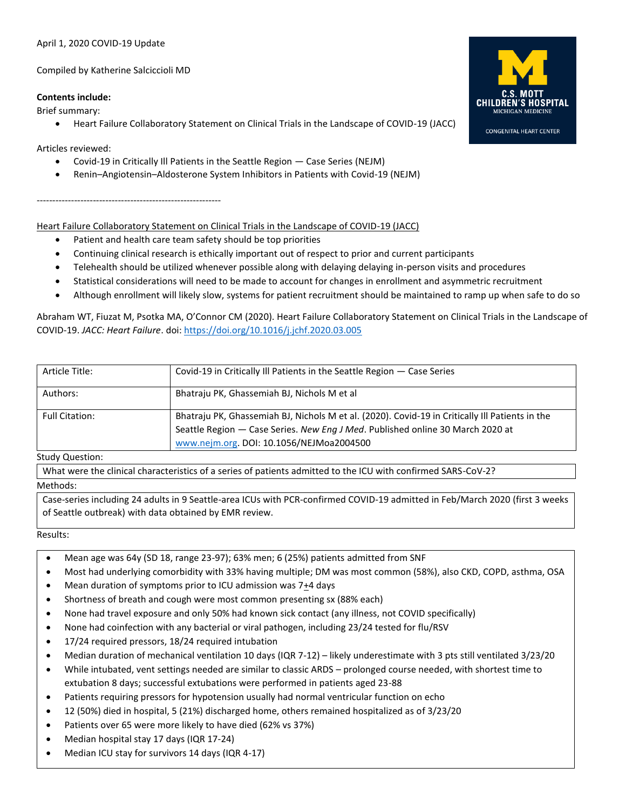# April 1, 2020 COVID-19 Update

Compiled by Katherine Salciccioli MD

### **Contents include:**

Brief summary:

• Heart Failure Collaboratory Statement on Clinical Trials in the Landscape of COVID-19 (JACC)

Articles reviewed:

- Covid-19 in Critically Ill Patients in the Seattle Region Case Series (NEJM)
- Renin–Angiotensin–Aldosterone System Inhibitors in Patients with Covid-19 (NEJM)

-----------------------------------------------------------

Heart Failure Collaboratory Statement on Clinical Trials in the Landscape of COVID-19 (JACC)

- Patient and health care team safety should be top priorities
- Continuing clinical research is ethically important out of respect to prior and current participants
- Telehealth should be utilized whenever possible along with delaying delaying in-person visits and procedures
- Statistical considerations will need to be made to account for changes in enrollment and asymmetric recruitment
- Although enrollment will likely slow, systems for patient recruitment should be maintained to ramp up when safe to do so

Abraham WT, Fiuzat M, Psotka MA, O'Connor CM (2020). Heart Failure Collaboratory Statement on Clinical Trials in the Landscape of COVID-19. *JACC: Heart Failure*. doi:<https://doi.org/10.1016/j.jchf.2020.03.005>

| Article Title:        | Covid-19 in Critically III Patients in the Seattle Region - Case Series                                                                                                                                                       |
|-----------------------|-------------------------------------------------------------------------------------------------------------------------------------------------------------------------------------------------------------------------------|
| Authors:              | Bhatraju PK, Ghassemiah BJ, Nichols M et al                                                                                                                                                                                   |
| <b>Full Citation:</b> | Bhatraju PK, Ghassemiah BJ, Nichols M et al. (2020). Covid-19 in Critically III Patients in the<br>Seattle Region - Case Series. New Eng J Med. Published online 30 March 2020 at<br>www.nejm.org. DOI: 10.1056/NEJMoa2004500 |

#### Study Question:

What were the clinical characteristics of a series of patients admitted to the ICU with confirmed SARS-CoV-2?

#### Methods:

Case-series including 24 adults in 9 Seattle-area ICUs with PCR-confirmed COVID-19 admitted in Feb/March 2020 (first 3 weeks of Seattle outbreak) with data obtained by EMR review.

Results:

- Mean age was 64y (SD 18, range 23-97); 63% men; 6 (25%) patients admitted from SNF
- Most had underlying comorbidity with 33% having multiple; DM was most common (58%), also CKD, COPD, asthma, OSA
- Mean duration of symptoms prior to ICU admission was 7+4 days
- Shortness of breath and cough were most common presenting sx (88% each)
- None had travel exposure and only 50% had known sick contact (any illness, not COVID specifically)
- None had coinfection with any bacterial or viral pathogen, including 23/24 tested for flu/RSV
- 17/24 required pressors, 18/24 required intubation
- Median duration of mechanical ventilation 10 days (IQR 7-12) likely underestimate with 3 pts still ventilated 3/23/20
- While intubated, vent settings needed are similar to classic ARDS prolonged course needed, with shortest time to extubation 8 days; successful extubations were performed in patients aged 23-88
- Patients requiring pressors for hypotension usually had normal ventricular function on echo
- 12 (50%) died in hospital, 5 (21%) discharged home, others remained hospitalized as of 3/23/20
- Patients over 65 were more likely to have died (62% vs 37%)
- Median hospital stay 17 days (IQR 17-24)
- Median ICU stay for survivors 14 days (IQR 4-17)



**CONGENITAL HEART CENTER**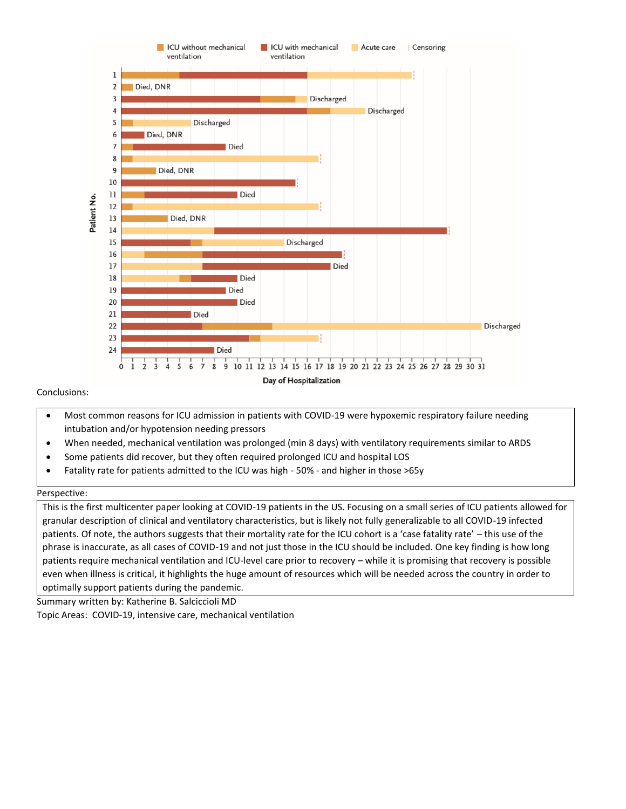

# Conclusions:

- Most common reasons for ICU admission in patients with COVID-19 were hypoxemic respiratory failure needing intubation and/or hypotension needing pressors
- When needed, mechanical ventilation was prolonged (min 8 days) with ventilatory requirements similar to ARDS
- Some patients did recover, but they often required prolonged ICU and hospital LOS
- Fatality rate for patients admitted to the ICU was high 50% and higher in those >65y

#### Perspective:

This is the first multicenter paper looking at COVID-19 patients in the US. Focusing on a small series of ICU patients allowed for granular description of clinical and ventilatory characteristics, but is likely not fully generalizable to all COVID-19 infected patients. Of note, the authors suggests that their mortality rate for the ICU cohort is a 'case fatality rate' – this use of the phrase is inaccurate, as all cases of COVID-19 and not just those in the ICU should be included. One key finding is how long patients require mechanical ventilation and ICU-level care prior to recovery – while it is promising that recovery is possible even when illness is critical, it highlights the huge amount of resources which will be needed across the country in order to optimally support patients during the pandemic.

Summary written by: Katherine B. Salciccioli MD Topic Areas: COVID-19, intensive care, mechanical ventilation